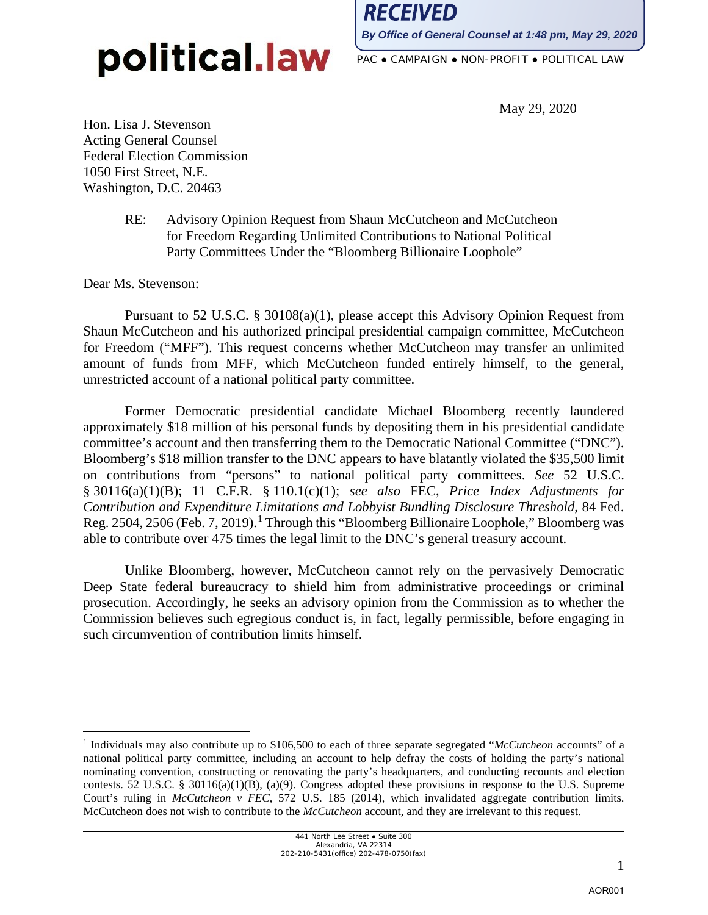RECEIVED

**By Office of General Counsel at 1:48 pm, May 29, 2020**

PAC ● CAMPAIGN ● NON-PROFIT ● POLITICAL LAW

May 29, 2020

Hon. Lisa J. Stevenson Acting General Counsel Federal Election Commission 1050 First Street, N.E. Washington, D.C. 20463

> RE: Advisory Opinion Request from Shaun McCutcheon and McCutcheon for Freedom Regarding Unlimited Contributions to National Political Party Committees Under the "Bloomberg Billionaire Loophole"

Dear Ms. Stevenson:

Pursuant to 52 U.S.C. § 30108(a)(1), please accept this Advisory Opinion Request from Shaun McCutcheon and his authorized principal presidential campaign committee, McCutcheon for Freedom ("MFF"). This request concerns whether McCutcheon may transfer an unlimited amount of funds from MFF, which McCutcheon funded entirely himself, to the general, unrestricted account of a national political party committee.

Former Democratic presidential candidate Michael Bloomberg recently laundered approximately \$18 million of his personal funds by depositing them in his presidential candidate committee's account and then transferring them to the Democratic National Committee ("DNC"). Bloomberg's \$18 million transfer to the DNC appears to have blatantly violated the \$35,500 limit on contributions from "persons" to national political party committees. *See* 52 U.S.C. § 30116(a)(1)(B); 11 C.F.R. § 110.1(c)(1); *see also* FEC, *Price Index Adjustments for Contribution and Expenditure Limitations and Lobbyist Bundling Disclosure Threshold*, 84 Fed. Reg. 2504, 2506 (Feb. 7, 2019).<sup>1</sup> Through this "Bloomberg Billionaire Loophole," Bloomberg was able to contribute over 475 times the legal limit to the DNC's general treasury account.

Unlike Bloomberg, however, McCutcheon cannot rely on the pervasively Democratic Deep State federal bureaucracy to shield him from administrative proceedings or criminal prosecution. Accordingly, he seeks an advisory opinion from the Commission as to whether the Commission believes such egregious conduct is, in fact, legally permissible, before engaging in such circumvention of contribution limits himself.

<sup>1</sup> Individuals may also contribute up to \$106,500 to each of three separate segregated "*McCutcheon* accounts" of a national political party committee, including an account to help defray the costs of holding the party's national nominating convention, constructing or renovating the party's headquarters, and conducting recounts and election contests. 52 U.S.C. § 30116(a)(1)(B), (a)(9). Congress adopted these provisions in response to the U.S. Supreme Court's ruling in *McCutcheon v FEC*, 572 U.S. 185 (2014), which invalidated aggregate contribution limits. McCutcheon does not wish to contribute to the *McCutcheon* account, and they are irrelevant to this request.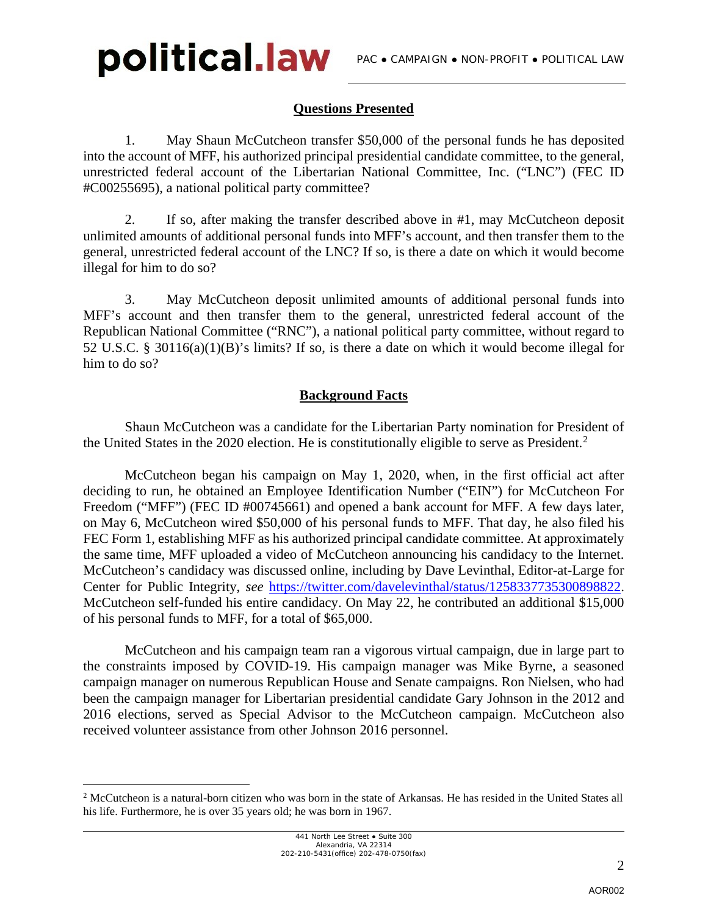## **Questions Presented**

 1. May Shaun McCutcheon transfer \$50,000 of the personal funds he has deposited into the account of MFF, his authorized principal presidential candidate committee, to the general, unrestricted federal account of the Libertarian National Committee, Inc. ("LNC") (FEC ID #C00255695), a national political party committee?

 2. If so, after making the transfer described above in #1, may McCutcheon deposit unlimited amounts of additional personal funds into MFF's account, and then transfer them to the general, unrestricted federal account of the LNC? If so, is there a date on which it would become illegal for him to do so?

 3. May McCutcheon deposit unlimited amounts of additional personal funds into MFF's account and then transfer them to the general, unrestricted federal account of the Republican National Committee ("RNC"), a national political party committee, without regard to 52 U.S.C. § 30116(a)(1)(B)'s limits? If so, is there a date on which it would become illegal for him to do so?

## **Background Facts**

Shaun McCutcheon was a candidate for the Libertarian Party nomination for President of the United States in the 2020 election. He is constitutionally eligible to serve as President.<sup>2</sup>

McCutcheon began his campaign on May 1, 2020, when, in the first official act after deciding to run, he obtained an Employee Identification Number ("EIN") for McCutcheon For Freedom ("MFF") (FEC ID #00745661) and opened a bank account for MFF. A few days later, on May 6, McCutcheon wired \$50,000 of his personal funds to MFF. That day, he also filed his FEC Form 1, establishing MFF as his authorized principal candidate committee. At approximately the same time, MFF uploaded a video of McCutcheon announcing his candidacy to the Internet. McCutcheon's candidacy was discussed online, including by Dave Levinthal, Editor-at-Large for Center for Public Integrity, *see* https://twitter.com/davelevinthal/status/1258337735300898822. McCutcheon self-funded his entire candidacy. On May 22, he contributed an additional \$15,000 of his personal funds to MFF, for a total of \$65,000.

McCutcheon and his campaign team ran a vigorous virtual campaign, due in large part to the constraints imposed by COVID-19. His campaign manager was Mike Byrne, a seasoned campaign manager on numerous Republican House and Senate campaigns. Ron Nielsen, who had been the campaign manager for Libertarian presidential candidate Gary Johnson in the 2012 and 2016 elections, served as Special Advisor to the McCutcheon campaign. McCutcheon also received volunteer assistance from other Johnson 2016 personnel.

<sup>2</sup> McCutcheon is a natural-born citizen who was born in the state of Arkansas. He has resided in the United States all his life. Furthermore, he is over 35 years old; he was born in 1967.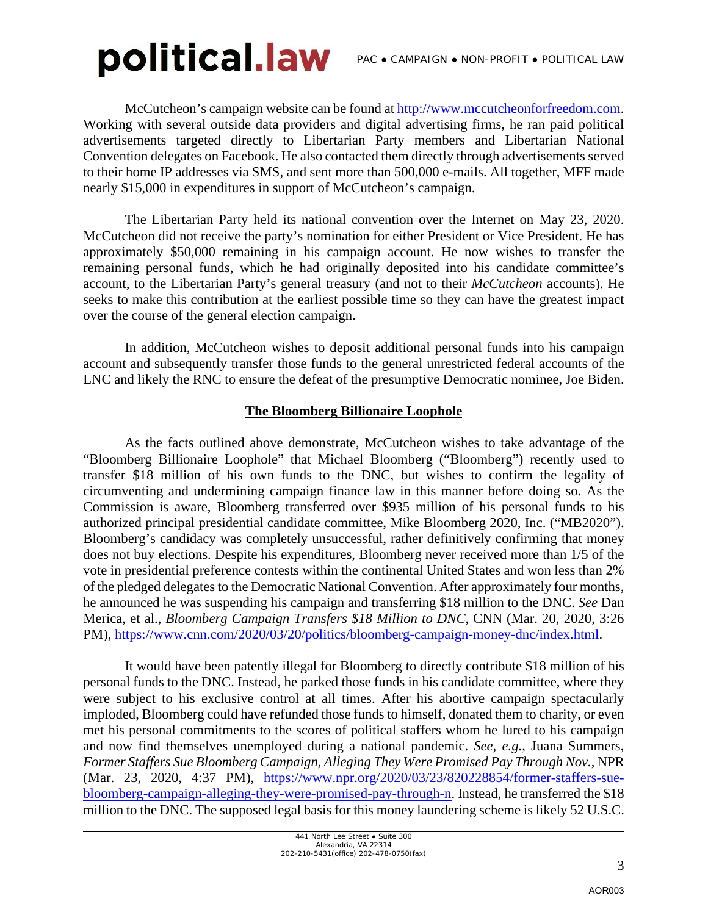McCutcheon's campaign website can be found at http://www.mccutcheonforfreedom.com. Working with several outside data providers and digital advertising firms, he ran paid political advertisements targeted directly to Libertarian Party members and Libertarian National Convention delegates on Facebook. He also contacted them directly through advertisements served to their home IP addresses via SMS, and sent more than 500,000 e-mails. All together, MFF made nearly \$15,000 in expenditures in support of McCutcheon's campaign.

The Libertarian Party held its national convention over the Internet on May 23, 2020. McCutcheon did not receive the party's nomination for either President or Vice President. He has approximately \$50,000 remaining in his campaign account. He now wishes to transfer the remaining personal funds, which he had originally deposited into his candidate committee's account, to the Libertarian Party's general treasury (and not to their *McCutcheon* accounts). He seeks to make this contribution at the earliest possible time so they can have the greatest impact over the course of the general election campaign.

In addition, McCutcheon wishes to deposit additional personal funds into his campaign account and subsequently transfer those funds to the general unrestricted federal accounts of the LNC and likely the RNC to ensure the defeat of the presumptive Democratic nominee, Joe Biden.

### **The Bloomberg Billionaire Loophole**

As the facts outlined above demonstrate, McCutcheon wishes to take advantage of the "Bloomberg Billionaire Loophole" that Michael Bloomberg ("Bloomberg") recently used to transfer \$18 million of his own funds to the DNC, but wishes to confirm the legality of circumventing and undermining campaign finance law in this manner before doing so. As the Commission is aware, Bloomberg transferred over \$935 million of his personal funds to his authorized principal presidential candidate committee, Mike Bloomberg 2020, Inc. ("MB2020"). Bloomberg's candidacy was completely unsuccessful, rather definitively confirming that money does not buy elections. Despite his expenditures, Bloomberg never received more than 1/5 of the vote in presidential preference contests within the continental United States and won less than 2% of the pledged delegates to the Democratic National Convention. After approximately four months, he announced he was suspending his campaign and transferring \$18 million to the DNC. *See* Dan Merica, et al., *Bloomberg Campaign Transfers \$18 Million to DNC*, CNN (Mar. 20, 2020, 3:26 PM), https://www.cnn.com/2020/03/20/politics/bloomberg-campaign-money-dnc/index.html.

It would have been patently illegal for Bloomberg to directly contribute \$18 million of his personal funds to the DNC. Instead, he parked those funds in his candidate committee, where they were subject to his exclusive control at all times. After his abortive campaign spectacularly imploded, Bloomberg could have refunded those funds to himself, donated them to charity, or even met his personal commitments to the scores of political staffers whom he lured to his campaign and now find themselves unemployed during a national pandemic. *See, e.g.*, Juana Summers, *Former Staffers Sue Bloomberg Campaign, Alleging They Were Promised Pay Through Nov.*, NPR (Mar. 23, 2020, 4:37 PM), https://www.npr.org/2020/03/23/820228854/former-staffers-suebloomberg-campaign-alleging-they-were-promised-pay-through-n. Instead, he transferred the \$18 million to the DNC. The supposed legal basis for this money laundering scheme is likely 52 U.S.C.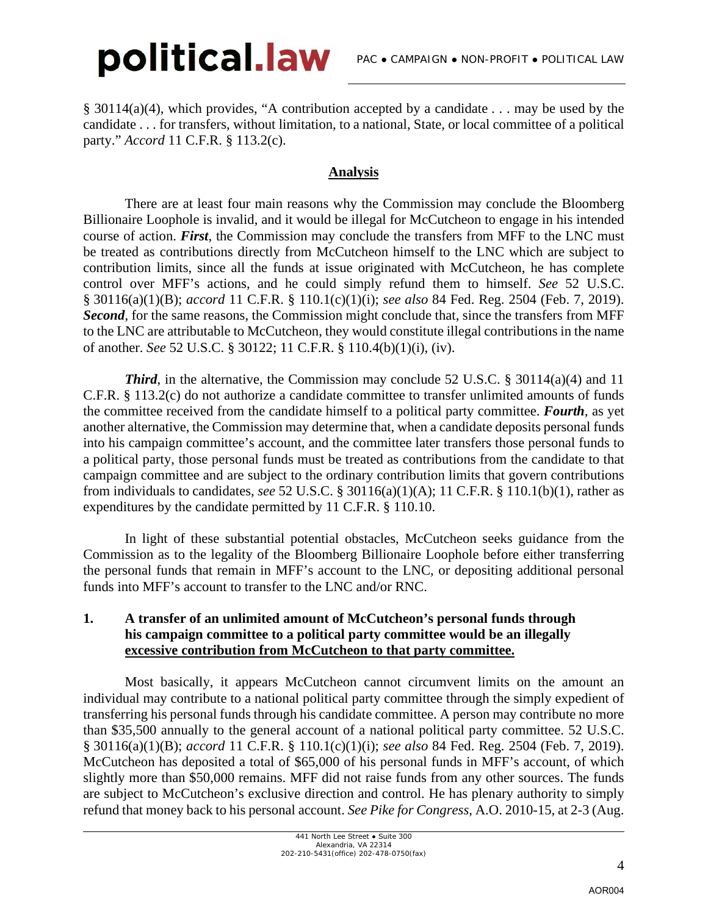§ 30114(a)(4), which provides, "A contribution accepted by a candidate . . . may be used by the candidate . . . for transfers, without limitation, to a national, State, or local committee of a political party." *Accord* 11 C.F.R. § 113.2(c).

## **Analysis**

There are at least four main reasons why the Commission may conclude the Bloomberg Billionaire Loophole is invalid, and it would be illegal for McCutcheon to engage in his intended course of action. *First*, the Commission may conclude the transfers from MFF to the LNC must be treated as contributions directly from McCutcheon himself to the LNC which are subject to contribution limits, since all the funds at issue originated with McCutcheon, he has complete control over MFF's actions, and he could simply refund them to himself. *See* 52 U.S.C. § 30116(a)(1)(B); *accord* 11 C.F.R. § 110.1(c)(1)(i); *see also* 84 Fed. Reg. 2504 (Feb. 7, 2019). *Second*, for the same reasons, the Commission might conclude that, since the transfers from MFF to the LNC are attributable to McCutcheon, they would constitute illegal contributions in the name of another. *See* 52 U.S.C. § 30122; 11 C.F.R. § 110.4(b)(1)(i), (iv).

*Third*, in the alternative, the Commission may conclude 52 U.S.C. § 30114(a)(4) and 11 C.F.R. § 113.2(c) do not authorize a candidate committee to transfer unlimited amounts of funds the committee received from the candidate himself to a political party committee. *Fourth*, as yet another alternative, the Commission may determine that, when a candidate deposits personal funds into his campaign committee's account, and the committee later transfers those personal funds to a political party, those personal funds must be treated as contributions from the candidate to that campaign committee and are subject to the ordinary contribution limits that govern contributions from individuals to candidates, *see* 52 U.S.C. § 30116(a)(1)(A); 11 C.F.R. § 110.1(b)(1), rather as expenditures by the candidate permitted by 11 C.F.R. § 110.10.

In light of these substantial potential obstacles, McCutcheon seeks guidance from the Commission as to the legality of the Bloomberg Billionaire Loophole before either transferring the personal funds that remain in MFF's account to the LNC, or depositing additional personal funds into MFF's account to transfer to the LNC and/or RNC.

#### **1. A transfer of an unlimited amount of McCutcheon's personal funds through his campaign committee to a political party committee would be an illegally excessive contribution from McCutcheon to that party committee.**

Most basically, it appears McCutcheon cannot circumvent limits on the amount an individual may contribute to a national political party committee through the simply expedient of transferring his personal funds through his candidate committee. A person may contribute no more than \$35,500 annually to the general account of a national political party committee. 52 U.S.C. § 30116(a)(1)(B); *accord* 11 C.F.R. § 110.1(c)(1)(i); *see also* 84 Fed. Reg. 2504 (Feb. 7, 2019). McCutcheon has deposited a total of \$65,000 of his personal funds in MFF's account, of which slightly more than \$50,000 remains. MFF did not raise funds from any other sources. The funds are subject to McCutcheon's exclusive direction and control. He has plenary authority to simply refund that money back to his personal account. *See Pike for Congress*, A.O. 2010-15, at 2-3 (Aug.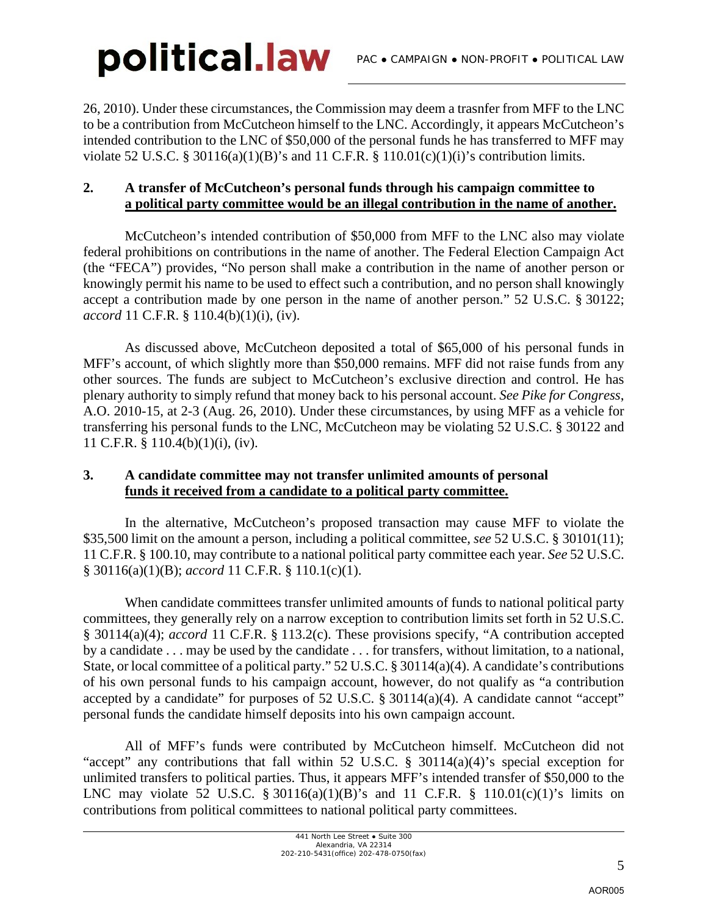26, 2010). Under these circumstances, the Commission may deem a trasnfer from MFF to the LNC to be a contribution from McCutcheon himself to the LNC. Accordingly, it appears McCutcheon's intended contribution to the LNC of \$50,000 of the personal funds he has transferred to MFF may violate 52 U.S.C. § 30116(a)(1)(B)'s and 11 C.F.R. § 110.01(c)(1)(i)'s contribution limits.

#### **2. A transfer of McCutcheon's personal funds through his campaign committee to a political party committee would be an illegal contribution in the name of another.**

McCutcheon's intended contribution of \$50,000 from MFF to the LNC also may violate federal prohibitions on contributions in the name of another. The Federal Election Campaign Act (the "FECA") provides, "No person shall make a contribution in the name of another person or knowingly permit his name to be used to effect such a contribution, and no person shall knowingly accept a contribution made by one person in the name of another person." 52 U.S.C. § 30122; *accord* 11 C.F.R. § 110.4(b)(1)(i), (iv).

As discussed above, McCutcheon deposited a total of \$65,000 of his personal funds in MFF's account, of which slightly more than \$50,000 remains. MFF did not raise funds from any other sources. The funds are subject to McCutcheon's exclusive direction and control. He has plenary authority to simply refund that money back to his personal account. *See Pike for Congress*, A.O. 2010-15, at 2-3 (Aug. 26, 2010). Under these circumstances, by using MFF as a vehicle for transferring his personal funds to the LNC, McCutcheon may be violating 52 U.S.C. § 30122 and 11 C.F.R. § 110.4(b)(1)(i), (iv).

#### **3. A candidate committee may not transfer unlimited amounts of personal funds it received from a candidate to a political party committee.**

In the alternative, McCutcheon's proposed transaction may cause MFF to violate the \$35,500 limit on the amount a person, including a political committee, *see* 52 U.S.C. § 30101(11); 11 C.F.R. § 100.10, may contribute to a national political party committee each year. *See* 52 U.S.C. § 30116(a)(1)(B); *accord* 11 C.F.R. § 110.1(c)(1).

When candidate committees transfer unlimited amounts of funds to national political party committees, they generally rely on a narrow exception to contribution limits set forth in 52 U.S.C. § 30114(a)(4); *accord* 11 C.F.R. § 113.2(c). These provisions specify, "A contribution accepted by a candidate . . . may be used by the candidate . . . for transfers, without limitation, to a national, State, or local committee of a political party." 52 U.S.C. § 30114(a)(4). A candidate's contributions of his own personal funds to his campaign account, however, do not qualify as "a contribution accepted by a candidate" for purposes of 52 U.S.C. § 30114(a)(4). A candidate cannot "accept" personal funds the candidate himself deposits into his own campaign account.

All of MFF's funds were contributed by McCutcheon himself. McCutcheon did not "accept" any contributions that fall within 52 U.S.C.  $\S$  30114(a)(4)'s special exception for unlimited transfers to political parties. Thus, it appears MFF's intended transfer of \$50,000 to the LNC may violate 52 U.S.C. § 30116(a)(1)(B)'s and 11 C.F.R. § 110.01(c)(1)'s limits on contributions from political committees to national political party committees.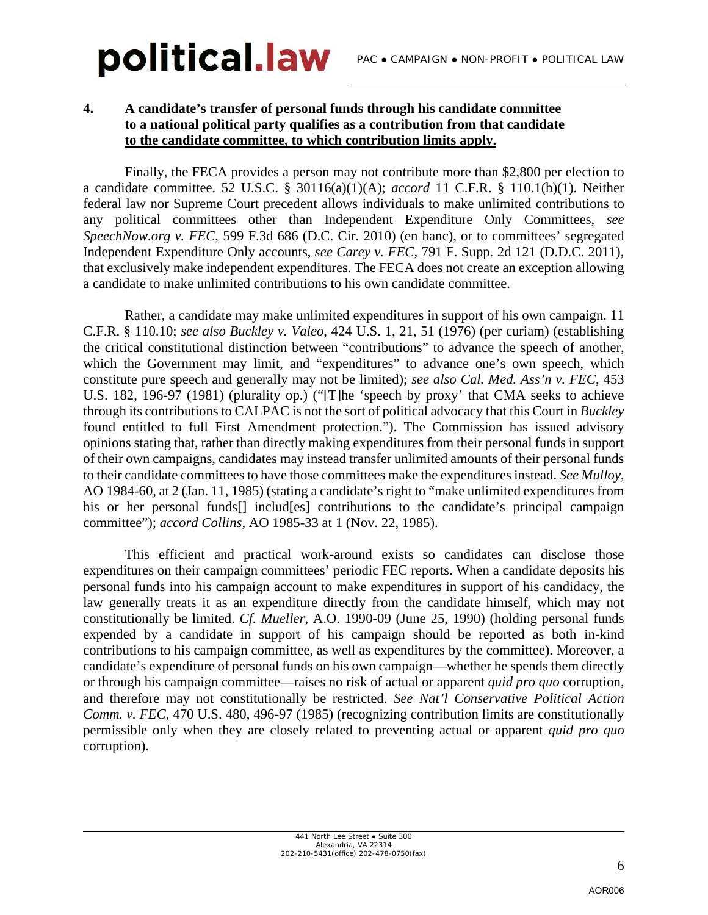#### **4. A candidate's transfer of personal funds through his candidate committee to a national political party qualifies as a contribution from that candidate to the candidate committee, to which contribution limits apply.**

 Finally, the FECA provides a person may not contribute more than \$2,800 per election to a candidate committee. 52 U.S.C. § 30116(a)(1)(A); *accord* 11 C.F.R. § 110.1(b)(1). Neither federal law nor Supreme Court precedent allows individuals to make unlimited contributions to any political committees other than Independent Expenditure Only Committees, *see SpeechNow.org v. FEC*, 599 F.3d 686 (D.C. Cir. 2010) (en banc), or to committees' segregated Independent Expenditure Only accounts, *see Carey v. FEC*, 791 F. Supp. 2d 121 (D.D.C. 2011), that exclusively make independent expenditures. The FECA does not create an exception allowing a candidate to make unlimited contributions to his own candidate committee.

Rather, a candidate may make unlimited expenditures in support of his own campaign. 11 C.F.R. § 110.10; *see also Buckley v. Valeo*, 424 U.S. 1, 21, 51 (1976) (per curiam) (establishing the critical constitutional distinction between "contributions" to advance the speech of another, which the Government may limit, and "expenditures" to advance one's own speech, which constitute pure speech and generally may not be limited); *see also Cal. Med. Ass'n v. FEC*, 453 U.S. 182, 196-97 (1981) (plurality op.) ("[T]he 'speech by proxy' that CMA seeks to achieve through its contributions to CALPAC is not the sort of political advocacy that this Court in *Buckley* found entitled to full First Amendment protection."). The Commission has issued advisory opinions stating that, rather than directly making expenditures from their personal funds in support of their own campaigns, candidates may instead transfer unlimited amounts of their personal funds to their candidate committees to have those committees make the expenditures instead. *See Mulloy*, AO 1984-60, at 2 (Jan. 11, 1985) (stating a candidate's right to "make unlimited expenditures from his or her personal funds<sup>[]</sup> includes] contributions to the candidate's principal campaign committee"); *accord Collins*, AO 1985-33 at 1 (Nov. 22, 1985).

This efficient and practical work-around exists so candidates can disclose those expenditures on their campaign committees' periodic FEC reports. When a candidate deposits his personal funds into his campaign account to make expenditures in support of his candidacy, the law generally treats it as an expenditure directly from the candidate himself, which may not constitutionally be limited. *Cf. Mueller*, A.O. 1990-09 (June 25, 1990) (holding personal funds expended by a candidate in support of his campaign should be reported as both in-kind contributions to his campaign committee, as well as expenditures by the committee). Moreover, a candidate's expenditure of personal funds on his own campaign—whether he spends them directly or through his campaign committee—raises no risk of actual or apparent *quid pro quo* corruption, and therefore may not constitutionally be restricted. *See Nat'l Conservative Political Action Comm. v. FEC*, 470 U.S. 480, 496-97 (1985) (recognizing contribution limits are constitutionally permissible only when they are closely related to preventing actual or apparent *quid pro quo*  corruption).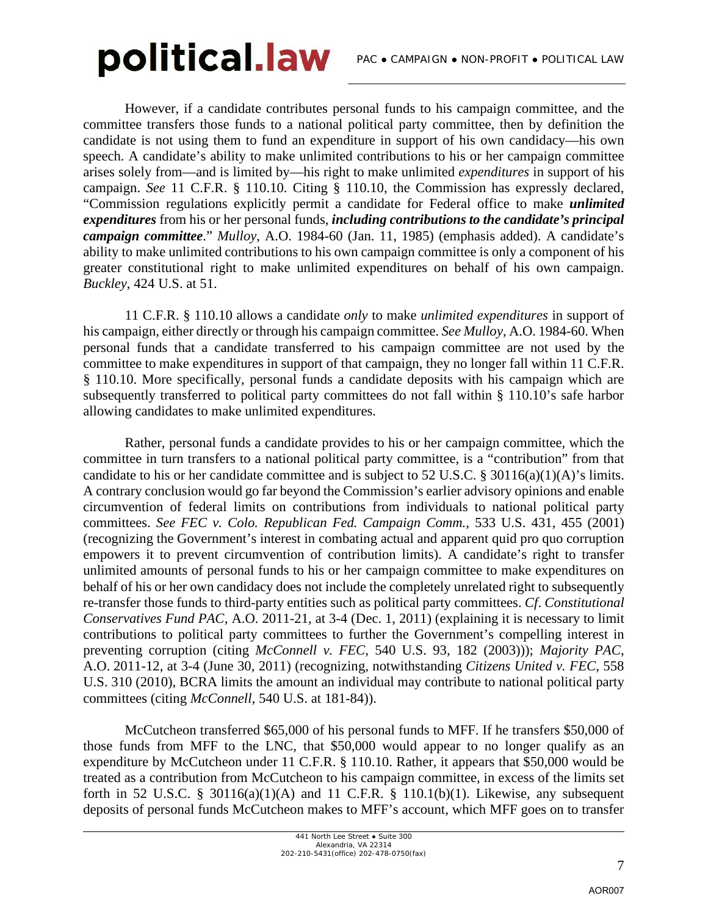However, if a candidate contributes personal funds to his campaign committee, and the committee transfers those funds to a national political party committee, then by definition the candidate is not using them to fund an expenditure in support of his own candidacy—his own speech. A candidate's ability to make unlimited contributions to his or her campaign committee arises solely from—and is limited by—his right to make unlimited *expenditures* in support of his campaign. *See* 11 C.F.R. § 110.10. Citing § 110.10, the Commission has expressly declared, "Commission regulations explicitly permit a candidate for Federal office to make *unlimited expenditures* from his or her personal funds, *including contributions to the candidate's principal campaign committee*." *Mulloy*, A.O. 1984-60 (Jan. 11, 1985) (emphasis added). A candidate's ability to make unlimited contributions to his own campaign committee is only a component of his greater constitutional right to make unlimited expenditures on behalf of his own campaign. *Buckley*, 424 U.S. at 51.

11 C.F.R. § 110.10 allows a candidate *only* to make *unlimited expenditures* in support of his campaign, either directly or through his campaign committee. *See Mulloy*, A.O. 1984-60. When personal funds that a candidate transferred to his campaign committee are not used by the committee to make expenditures in support of that campaign, they no longer fall within 11 C.F.R. § 110.10. More specifically, personal funds a candidate deposits with his campaign which are subsequently transferred to political party committees do not fall within § 110.10's safe harbor allowing candidates to make unlimited expenditures.

Rather, personal funds a candidate provides to his or her campaign committee, which the committee in turn transfers to a national political party committee, is a "contribution" from that candidate to his or her candidate committee and is subject to 52 U.S.C. § 30116(a)(1)(A)'s limits. A contrary conclusion would go far beyond the Commission's earlier advisory opinions and enable circumvention of federal limits on contributions from individuals to national political party committees. *See FEC v. Colo. Republican Fed. Campaign Comm.*, 533 U.S. 431, 455 (2001) (recognizing the Government's interest in combating actual and apparent quid pro quo corruption empowers it to prevent circumvention of contribution limits). A candidate's right to transfer unlimited amounts of personal funds to his or her campaign committee to make expenditures on behalf of his or her own candidacy does not include the completely unrelated right to subsequently re-transfer those funds to third-party entities such as political party committees. *Cf*. *Constitutional Conservatives Fund PAC*, A.O. 2011-21, at 3-4 (Dec. 1, 2011) (explaining it is necessary to limit contributions to political party committees to further the Government's compelling interest in preventing corruption (citing *McConnell v. FEC*, 540 U.S. 93, 182 (2003))); *Majority PAC*, A.O. 2011-12, at 3-4 (June 30, 2011) (recognizing, notwithstanding *Citizens United v. FEC*, 558 U.S. 310 (2010), BCRA limits the amount an individual may contribute to national political party committees (citing *McConnell*, 540 U.S. at 181-84)).

McCutcheon transferred \$65,000 of his personal funds to MFF. If he transfers \$50,000 of those funds from MFF to the LNC, that \$50,000 would appear to no longer qualify as an expenditure by McCutcheon under 11 C.F.R. § 110.10. Rather, it appears that \$50,000 would be treated as a contribution from McCutcheon to his campaign committee, in excess of the limits set forth in 52 U.S.C. § 30116(a)(1)(A) and 11 C.F.R. § 110.1(b)(1). Likewise, any subsequent deposits of personal funds McCutcheon makes to MFF's account, which MFF goes on to transfer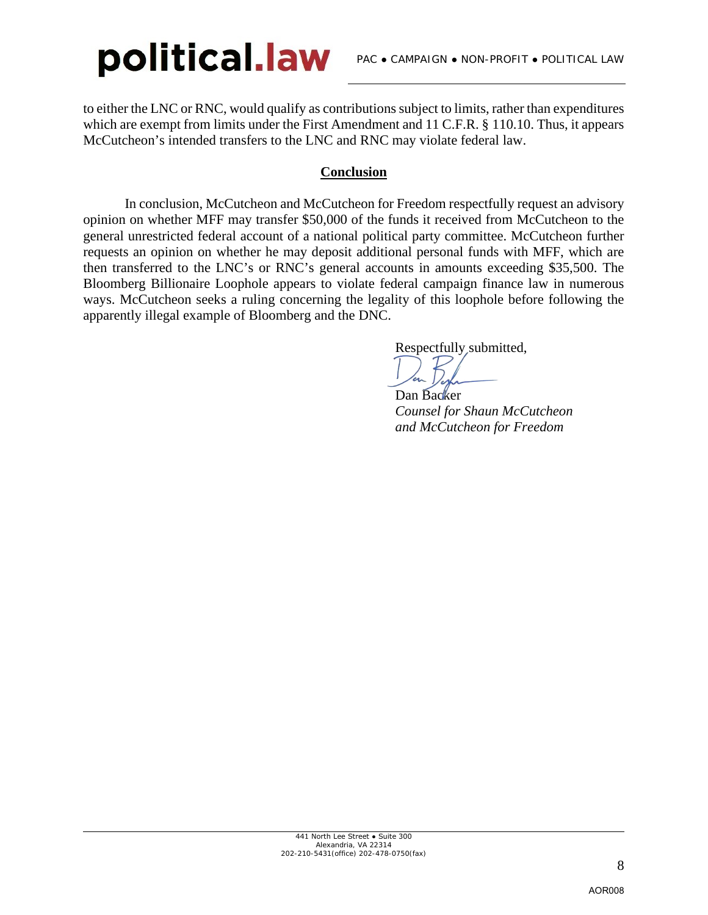to either the LNC or RNC, would qualify as contributions subject to limits, rather than expenditures which are exempt from limits under the First Amendment and 11 C.F.R. § 110.10. Thus, it appears McCutcheon's intended transfers to the LNC and RNC may violate federal law.

### **Conclusion**

In conclusion, McCutcheon and McCutcheon for Freedom respectfully request an advisory opinion on whether MFF may transfer \$50,000 of the funds it received from McCutcheon to the general unrestricted federal account of a national political party committee. McCutcheon further requests an opinion on whether he may deposit additional personal funds with MFF, which are then transferred to the LNC's or RNC's general accounts in amounts exceeding \$35,500. The Bloomberg Billionaire Loophole appears to violate federal campaign finance law in numerous ways. McCutcheon seeks a ruling concerning the legality of this loophole before following the apparently illegal example of Bloomberg and the DNC.

Respectfully submitted,

Dan Backer

*Counsel for Shaun McCutcheon and McCutcheon for Freedom*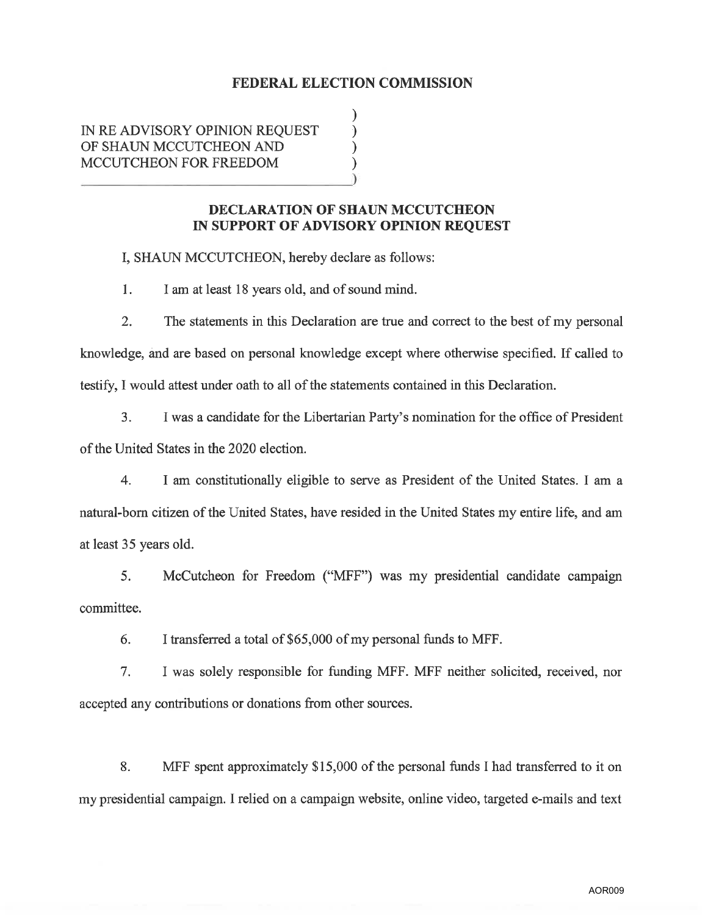#### **FEDERAL ELECTION COMMISSION**

 $\mathcal{E}$ 

 $\mathcal{E}$ 

IN RE ADVISORY OPINION REQUEST OF SHAUN MCCUTCHEON AND MCCUTCHEON FOR FREEDOM

#### DECLARATION OF SHAUN MCCUTCHEON IN SUPPORT OF ADVISORY OPINION REQUEST

I, SHAUN MCCUTCHEON, hereby declare as follows:

1. I am at least 18 years old, and of sound mind.

2. The statements in this Declaration are true and correct to the best of my personal knowledge, and are based on personal knowledge except where otherwise specified. If called to testify, I would attest under oath to all of the statements contained in this Declaration.

3. I was a candidate for the Libertarian Party's nomination for the office of President of the United States in the 2020 election.

 $\overline{4}$ . I am constitutionally eligible to serve as President of the United States. I am a natural-born citizen of the United States, have resided in the United States my entire life, and am at least 35 years old.

5. McCutcheon for Freedom ("MFF") was my presidential candidate campaign committee.

6. I transferred a total of \$65,000 of my personal funds to MFF.

I was solely responsible for funding MFF. MFF neither solicited, received, nor  $7<sub>1</sub>$ accepted any contributions or donations from other sources.

8. MFF spent approximately \$15,000 of the personal funds I had transferred to it on my presidential campaign. I relied on a campaign website, online video, targeted e-mails and text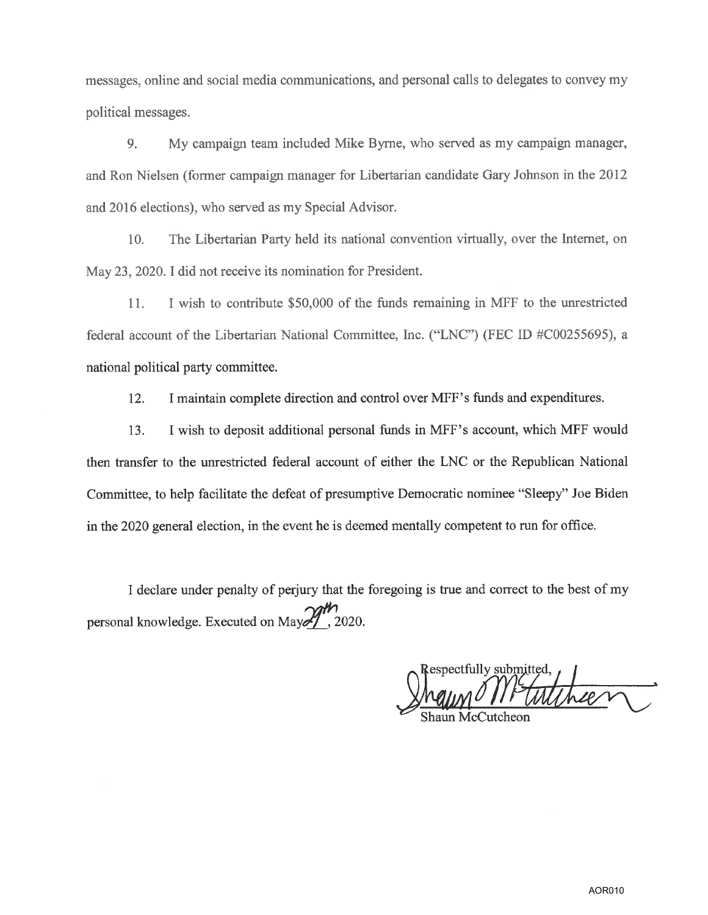messages, online and social media communications, and personal calls to delegates to convey my political messages.

9. My campaign team included Mike Byrne, who served as my campaign manager, and Ron Nielsen (former campaign manager for Libertarian candidate Gary Johnson in the 2012 and 2016 elections), who served as my Special Advisor.

The Libertarian Party held its national convention virtually, over the Internet, on 10. May 23, 2020. I did not receive its nomination for President.

I wish to contribute \$50,000 of the funds remaining in MFF to the unrestricted 11. federal account of the Libertarian National Committee, Inc. ("LNC") (FEC ID #C00255695), a national political party committee.

 $12.$ I maintain complete direction and control over MFF's funds and expenditures.

I wish to deposit additional personal funds in MFF's account, which MFF would 13. then transfer to the unrestricted federal account of either the LNC or the Republican National Committee, to help facilitate the defeat of presumptive Democratic nominee "Sleepy" Joe Biden in the 2020 general election, in the event he is deemed mentally competent to run for office.

I declare under penalty of perjury that the foregoing is true and correct to the best of my personal knowledge. Executed on May  $\frac{1}{2}$ , 2020.

Respectfully submitted.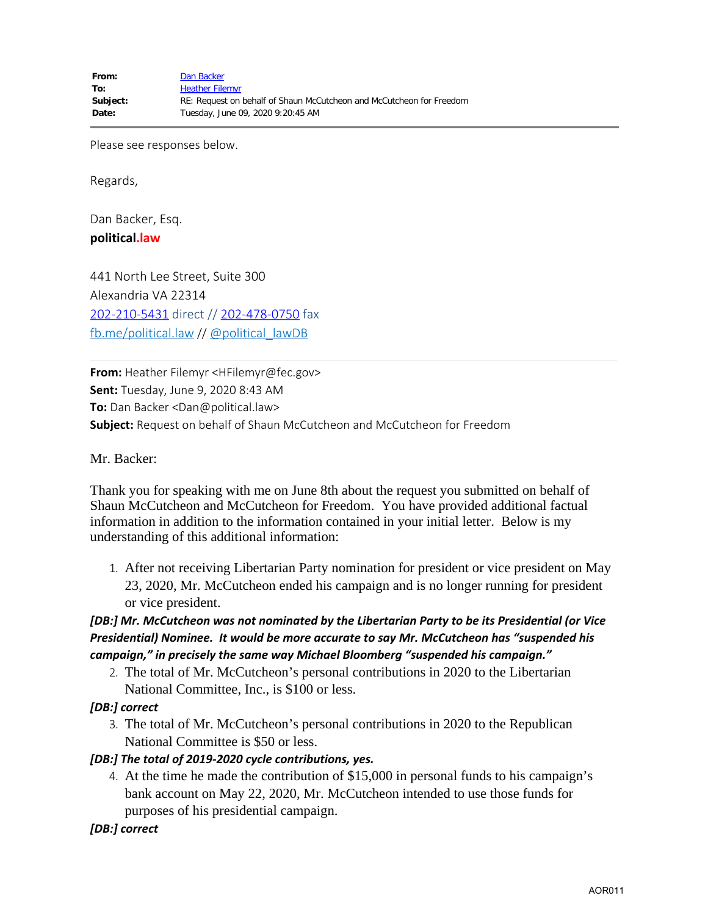Please see responses below.

Regards,

Dan Backer, Esq. **political.law**

441 North Lee Street, Suite 300 Alexandria VA 22314 [202-210-5431](tel:202-210-5431) direct // [202-478-0750](tel:202-478-0750) fax [fb.me/political.law](http://fb.me/political.law) // [@political\\_lawDB](https://twitter.com/political_lawDB)

**From:** Heather Filemyr <HFilemyr@fec.gov> **Sent:** Tuesday, June 9, 2020 8:43 AM **To:** Dan Backer <Dan@political.law> **Subject:** Request on behalf of Shaun McCutcheon and McCutcheon for Freedom

Mr. Backer:

Thank you for speaking with me on June 8th about the request you submitted on behalf of Shaun McCutcheon and McCutcheon for Freedom. You have provided additional factual information in addition to the information contained in your initial letter. Below is my understanding of this additional information:

1. After not receiving Libertarian Party nomination for president or vice president on May 23, 2020, Mr. McCutcheon ended his campaign and is no longer running for president or vice president.

### *[DB:] Mr. McCutcheon was not nominated by the Libertarian Party to be its Presidential (or Vice Presidential) Nominee. It would be more accurate to say Mr. McCutcheon has "suspended his campaign," in precisely the same way Michael Bloomberg "suspended his campaign."*

2. The total of Mr. McCutcheon's personal contributions in 2020 to the Libertarian National Committee, Inc., is \$100 or less.

#### *[DB:] correct*

3. The total of Mr. McCutcheon's personal contributions in 2020 to the Republican National Committee is \$50 or less.

#### *[DB:] The total of 2019-2020 cycle contributions, yes.*

- 4. At the time he made the contribution of \$15,000 in personal funds to his campaign's bank account on May 22, 2020, Mr. McCutcheon intended to use those funds for purposes of his presidential campaign.
- *[DB:] correct*